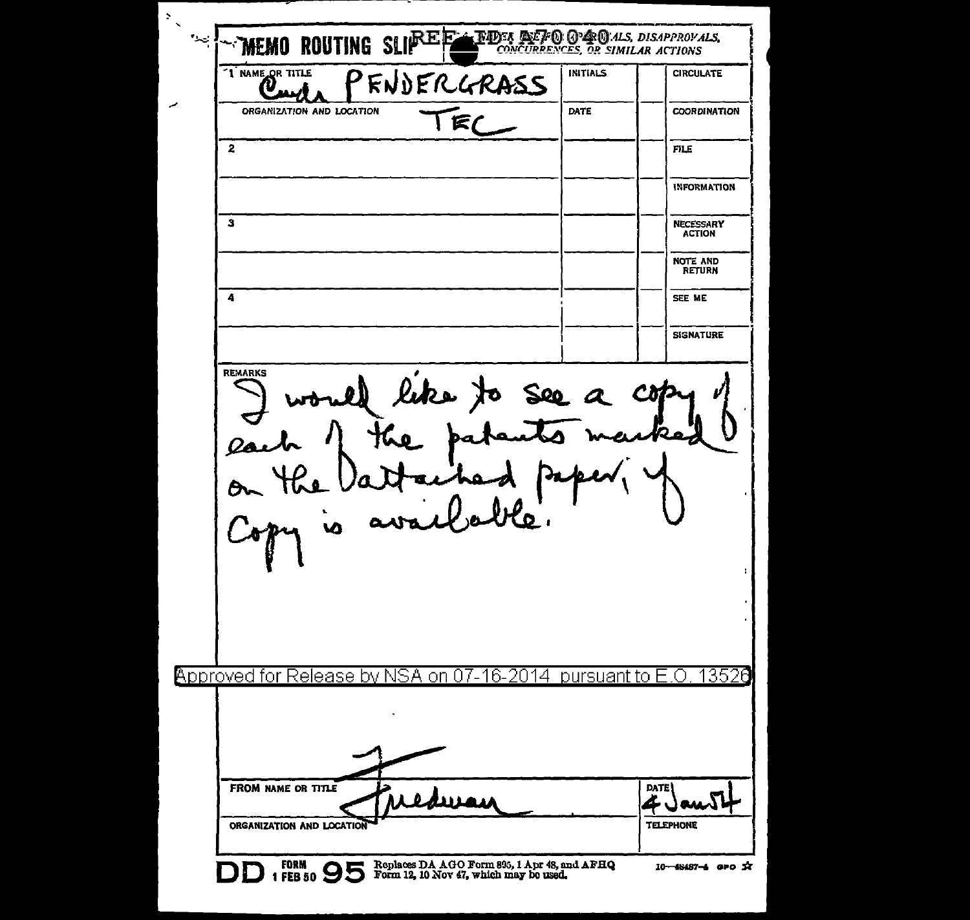$\overline{z}$  $\neg$ memo routing sli $\mathbb{P}^{\text{E}}$ e **THDES DEFO GPDC**M.ALS, DISAPPROVALS,<br>CONCURRENCES, OR SIMILAR ACTIONS  $\sim$ "I NAME OR TITLE **INITIALS CIRCULATE** PENDERGRASS  $\boldsymbol{\vartheta}_{\rm m}$ TEC ORGANIZATION AND LOCATION DATE **COORDINATION**  $\overline{2}$ **FILE INFORMATION**  $\mathbf{3}$ **NECESSARY ACTION** NOTE AND<br>RETURN  $\ddot{ }$ SEE ME **SIGNATURE REMARKS** would like to see a copy e pa  $rac{\partial}{\partial r}$ availle py is **Approved for Release by NSA** on 07-16-2014 pursuant to E.O 13526 FROM NAME OR TITLE **DATE** سەل غە TELEPHONE ORGANIZATION AND LOCATION DD 1 FB 50 95 Form 12, 10 Nov 47, which may be used. 10-48487-6 GPO X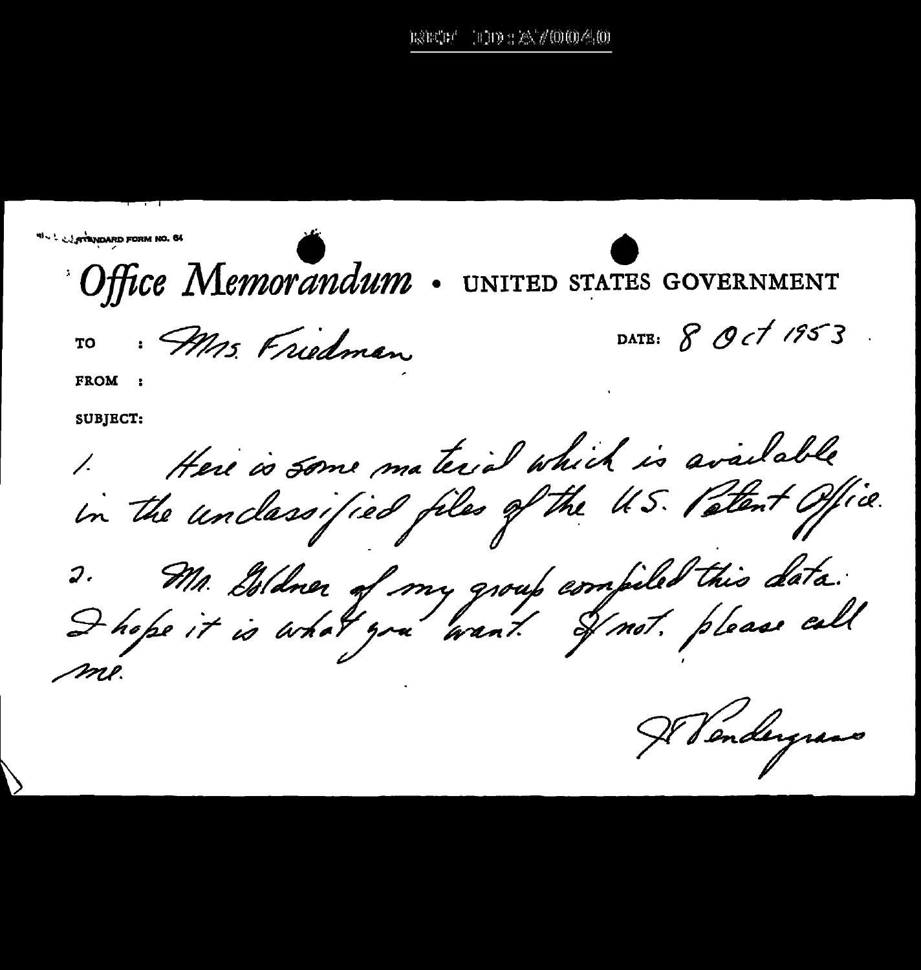$1113.7257/0004.0$ the the f

**WALL STANDARD FORM NO. 64** Office Memorandum UNITED STATES GOVERNMENT DATE: 8 Oct 1953 · Mrs. Friedman TО **FROM SUBJECT:** 1. Here is some material which is available 2. Mr. Isldner of my group compiled this data.<br>I hope it is what you want I not please call Il Vendergrans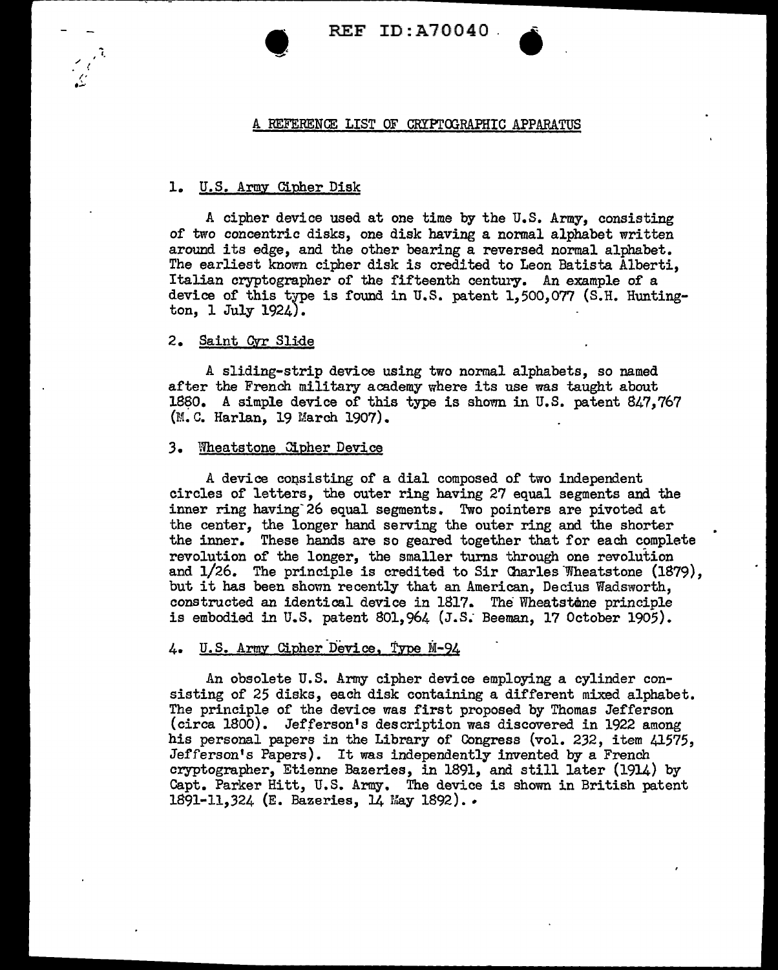REF ID:A70040 .

### A REFERENCE LIST OF CRYPTOGRAPHIC APPARATUS

# 1. U.S. Army Cipher Disk

 $\bullet$ 

A cipher device used at one time by the U.S. Army, consisting of two concentric disks, one disk having a normal alphabet written around its edge, and the other bearing a reversed normal alphabet. The earliest known cipher disk is credited to Leon Batista Alberti, Italian cryptographer of the fifteenth century. An example of a device of this type is found in U.S. patent 1,500,077 (S.H. Huntington, l July 1924).

## 2. Saint Qvr Slide

A sliding-strip device using two normal alphabets, so named after the French military academy where its use was taught about 1880. A simple device of this type is shown in U.S. patent 847,767 (M.C. Harlan, 19 March 1907).

### 3. Wheatstone Cipher Device

A device consisting of a dial composed of two independent circles of letters, the outer ring having 27 equal segments and the inner ring having 26 equal segments. Two pointers are pivoted at the center, the longer hand serving the outer ring and the shorter the inner. These hands are so geared together that for each complete revolution of the longer, the smaller turns through one revolution and  $1/26$ . The principle is credited to Sir Charles Wheatstone  $(1879)$ , but it has been shown recently that an American, Decius Wadsworth, constructed an identical device in 1817. The Wheatstone principle is embodied in U.S. patent 801, 964 (J.S. Beeman, 17 October 1905).

# 4. U.S. Army Cipher Device, Type M-94

An obsolete U.S. Army cipher device employing a cylinder consisting of 25 disks, each disk containing a different mixed alphabet. The principle of the device was first proposed by Thomas Jefferson (circa 1800). Jefferson's description was discovered in 1922 among his personal papers in the Library of Congress (vol. 232, item 41575, Jefferson's Papers). It was independently invented by a French cryptographer, Etienne Bazerles, in 1891, and still later (1914) by Capt. Parker Hitt, U.S. Army. The device is shown in British patent 1891-11,324 (E. Bazeries, 14 May 1892)...